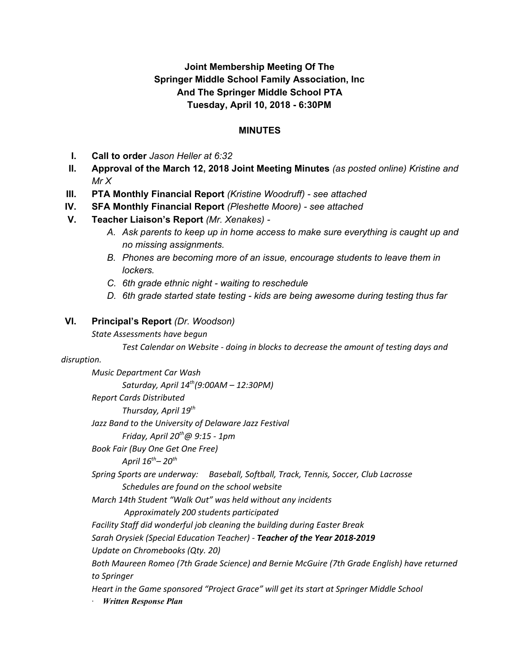### **Joint Membership Meeting Of The Springer Middle School Family Association, Inc And The Springer Middle School PTA Tuesday, April 10, 2018 - 6:30PM**

#### **MINUTES**

- **I. Call to order** *Jason Heller at 6:32*
- **II. Approval of the March 12, 2018 Joint Meeting Minutes** *(as posted online) Kristine and Mr X*
- **III. PTA Monthly Financial Report** *(Kristine Woodruff) - see attached*
- **IV. SFA Monthly Financial Report** *(Pleshette Moore) - see attached*
- **V. Teacher Liaison's Report** *(Mr. Xenakes) -*
	- *A. Ask parents to keep up in home access to make sure everything is caught up and no missing assignments.*
	- *B. Phones are becoming more of an issue, encourage students to leave them in lockers.*
	- *C. 6th grade ethnic night - waiting to reschedule*
	- *D. 6th grade started state testing - kids are being awesome during testing thus far*

#### **VI. Principal's Report** *(Dr. Woodson)*

*State Assessments have begun*

*Test Calendar on Website - doing in blocks to decrease the amount of testing days and*

#### *disruption.*

*Music Department Car Wash Saturday, April 14 th (9:00AM – 12:30PM) Report Cards Distributed Thursday, April 19 th Jazz Band to the University of Delaware Jazz Festival Friday, April 20 th@ 9:15 - 1pm Book Fair (Buy One Get One Free) April 16 th– 20 th Spring Sports are underway: Baseball, Softball, Track, Tennis, Soccer, Club Lacrosse Schedules are found on the school website March 14th Student "Walk Out" was held without any incidents Approximately 200 students participated Facility Staff did wonderful job cleaning the building during Easter Break Sarah Orysiek (Special Education Teacher) - Teacher of the Year 2018-2019 Update on Chromebooks (Qty. 20) Both Maureen Romeo (7th Grade Science) and Bernie McGuire (7th Grade English) have returned to Springer Heart in the Game sponsored "Project Grace" will get its start at Springer Middle School · Written Response Plan*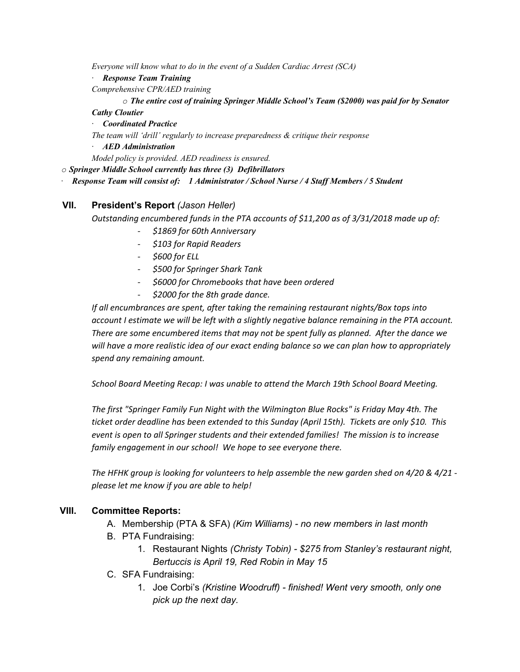*Everyone will know what to do in the event of a Sudden Cardiac Arrest (SCA)*

*· Response Team Training*

*Comprehensive CPR/AED training*

*o The entire cost of training Springer Middle School's Team (\$2000) was paid for by Senator*

*Cathy Cloutier*

*· Coordinated Practice*

*The team will 'drill' regularly to increase preparedness & critique their response*

*· AED Administration*

*Model policy is provided. AED readiness is ensured.*

*o Springer Middle School currently has three (3) Defibrillators*

*· Response Team will consist of: 1 Administrator / School Nurse / 4 Staf Members / 5 Student*

#### **VII. President's Report** *(Jason Heller)*

*Outstanding encumbered funds in the PTA accounts of \$11,200 as of 3/31/2018 made up of:*

- *- \$1869 for 60th Anniversary*
- *- \$103 for Rapid Readers*
- *- \$600 for ELL*
- *- \$500 for Springer Shark Tank*
- *- \$6000 for Chromebooks that have been ordered*
- *- \$2000 for the 8th grade dance.*

*If all encumbrances are spent, after taking the remaining restaurant nights/Box tops into account I estimate we will be left with a slightly negative balance remaining in the PTA account. There are some encumbered items that may not be spent fully as planned. After the dance we will have a more realistic idea of our exact ending balance so we can plan how to appropriately spend any remaining amount.*

*School Board Meeting Recap: I was unable to attend the March 19th School Board Meeting.*

*The first "Springer Family Fun Night with the Wilmington Blue Rocks" is Friday May 4th. The ticket order deadline has been extended to this Sunday (April 15th). Tickets are only \$10. This event is open to all Springer students and their extended families! The mission is to increase family engagement in our school! We hope to see everyone there.*

The HFHK group is looking for volunteers to help assemble the new garden shed on  $4/20.84/21$  *please let me know if you are able to help!*

#### **VIII. Committee Reports:**

- A. Membership (PTA & SFA) *(Kim Williams) - no new members in last month*
- B. PTA Fundraising:
	- 1. Restaurant Nights *(Christy Tobin) - \$275 from Stanley's restaurant night, Bertuccis is April 19, Red Robin in May 15*
- C. SFA Fundraising:
	- 1. Joe Corbi's *(Kristine Woodruff) - finished! Went very smooth, only one pick up the next day.*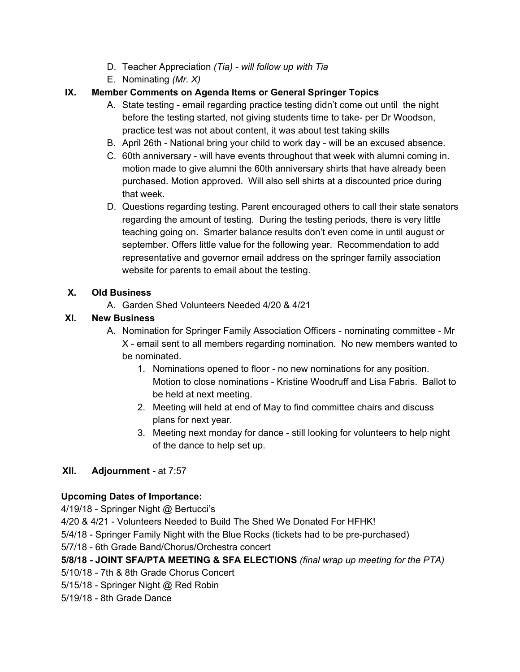- D. Teacher Appreciation *(Tia) - will follow up with Tia*
- E. Nominating *(Mr. X)*

# **IX. Member Comments on Agenda Items or General Springer Topics**

- A. State testing email regarding practice testing didn't come out until the night before the testing started, not giving students time to take- per Dr Woodson, practice test was not about content, it was about test taking skills
- B. April 26th National bring your child to work day will be an excused absence.
- C. 60th anniversary will have events throughout that week with alumni coming in. motion made to give alumni the 60th anniversary shirts that have already been purchased. Motion approved. Will also sell shirts at a discounted price during that week.
- D. Questions regarding testing. Parent encouraged others to call their state senators regarding the amount of testing. During the testing periods, there is very little teaching going on. Smarter balance results don't even come in until august or september. Offers little value for the following year. Recommendation to add representative and governor email address on the springer family association website for parents to email about the testing.

# **X. Old Business**

A. Garden Shed Volunteers Needed 4/20 & 4/21

### **XI. New Business**

- A. Nomination for Springer Family Association Officers nominating committee Mr X - email sent to all members regarding nomination. No new members wanted to be nominated.
	- 1. Nominations opened to floor no new nominations for any position. Motion to close nominations - Kristine Woodruff and Lisa Fabris. Ballot to be held at next meeting.
	- 2. Meeting will held at end of May to find committee chairs and discuss plans for next year.
	- 3. Meeting next monday for dance still looking for volunteers to help night of the dance to help set up.

# **XII. Adjournment -** at 7:57

# **Upcoming Dates of Importance:**

4/19/18 - Springer Night @ Bertucci's

4/20 & 4/21 - Volunteers Needed to Build The Shed We Donated For HFHK!

5/4/18 - Springer Family Night with the Blue Rocks (tickets had to be pre-purchased)

5/7/18 - 6th Grade Band/Chorus/Orchestra concert

# **5/8/18 - JOINT SFA/PTA MEETING & SFA ELECTIONS** *(final wrap up meeting for the PTA)*

5/10/18 - 7th & 8th Grade Chorus Concert

5/15/18 - Springer Night @ Red Robin

5/19/18 - 8th Grade Dance